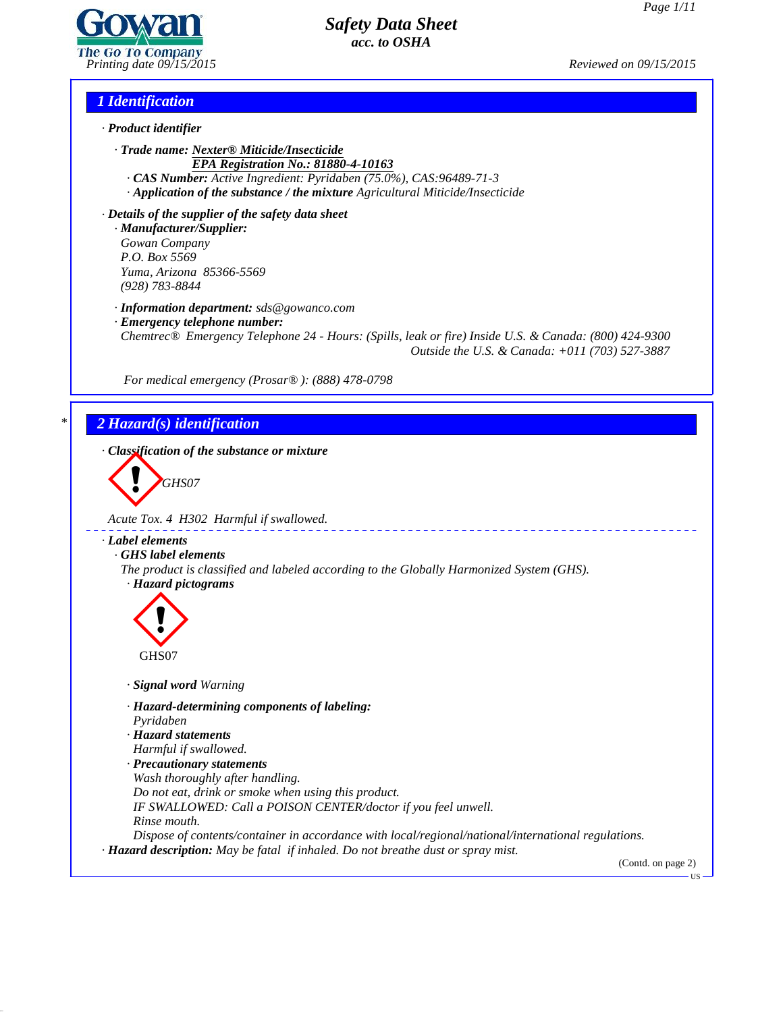*Page 1/11*

*Printing date 09/15/2015 Reviewed on 09/15/2015*

*1 Identification*

*· Product identifier*

*· Trade name: Nexter® Miticide/Insecticide EPA Registration No.: 81880-4-10163*

*· CAS Number: Active Ingredient: Pyridaben (75.0%), CAS:96489-71-3*

*· Application of the substance / the mixture Agricultural Miticide/Insecticide*

*· Details of the supplier of the safety data sheet · Manufacturer/Supplier: Gowan Company P.O. Box 5569 Yuma, Arizona 85366-5569 (928) 783-8844*

*· Information department: sds@gowanco.com*

*· Emergency telephone number:*

*Chemtrec® Emergency Telephone 24 - Hours: (Spills, leak or fire) Inside U.S. & Canada: (800) 424-9300 Outside the U.S. & Canada: +011 (703) 527-3887*

*For medical emergency (Prosar® ): (888) 478-0798*

# *\* 2 Hazard(s) identification*

*· Classification of the substance or mixture*

**GHS07** 

*Acute Tox. 4 H302 Harmful if swallowed.*

# *· Label elements*

*· GHS label elements*

*The product is classified and labeled according to the Globally Harmonized System (GHS). · Hazard pictograms*



*· Signal word Warning*

*· Hazard-determining components of labeling:*

*Pyridaben*

*· Hazard statements*

*Harmful if swallowed.*

*· Precautionary statements*

*Wash thoroughly after handling.*

*Do not eat, drink or smoke when using this product. IF SWALLOWED: Call a POISON CENTER/doctor ifyou feel unwell.*

*Rinse mouth.*

41.2.6

*Dispose of contents/container in accordance with local/regional/national/international regulations. · Hazard description: May be fatal if inhaled. Do not breathe dust or spray mist.*

(Contd. on page 2)US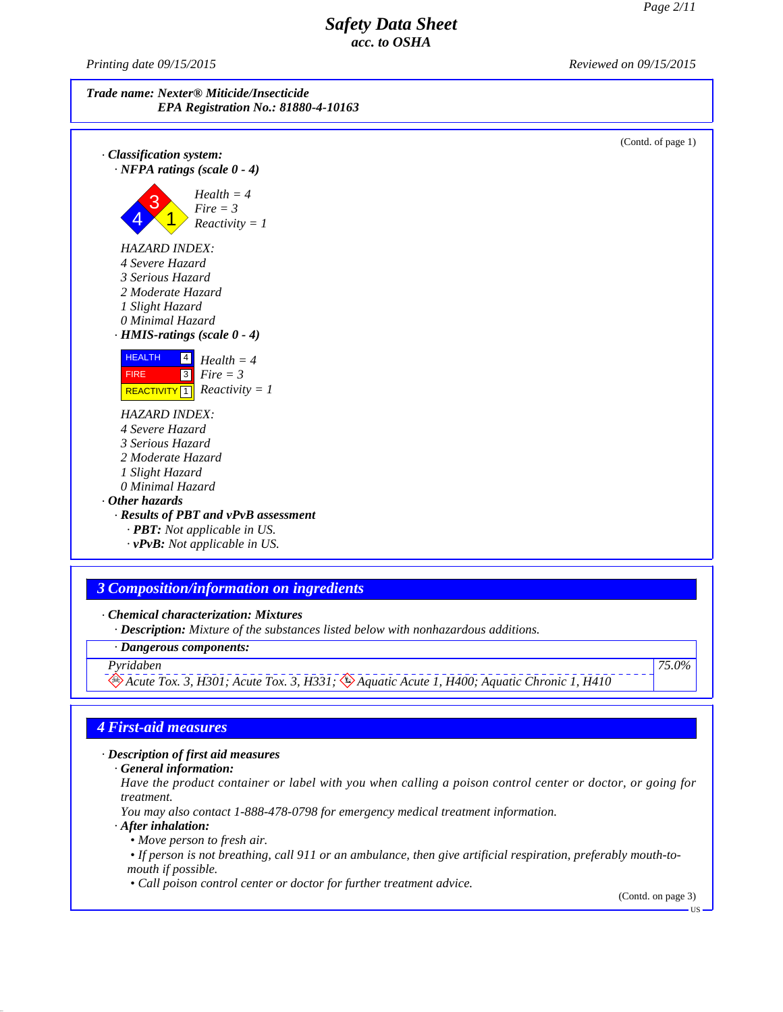(Contd. of page 1)

# *Safety Data Sheet acc. to OSHA*

*Printing date 09/15/2015 Reviewed on 09/15/2015*



- *4 Severe Hazard 3 Serious Hazard*
- *2 Moderate Hazard*
- *1 Slight Hazard*
- *0 Minimal Hazard*



## *HAZARD INDEX:*

- *4 Severe Hazard*
- *3 Serious Hazard*
- *2 Moderate Hazard*
- *1 Slight Hazard 0 Minimal Hazard*

# *· Other hazards*

- *· Results of PBT and vPvB assessment · PBT: Not applicable in US.*
	- *· vPvB: Not applicable in US.*

# *3 Composition/information on ingredients*

*· Chemical characterization: Mixtures*

*· Description: Mixture of the substances listed below with nonhazardous additions.*

*· Dangerous components:*

*Pyridaben Acute Tox. 3, H301; Acute Tox. 3, H331; Aquatic Acute 1, H400; Aquatic Chronic 1, H410*

*75.0%*

# *4 First-aid measures*

*· Description of first aid measures*

*· General information:*

Have the product container or label with you when calling a poison control center or doctor, or going for *treatment.*

*You may also contact 1-888-478-0798 for emergency medical treatment information.*

*· After inhalation:*

41.2.6

*• Move person to fresh air.*

• If person is not breathing, call 911 or an ambulance, then give artificial respiration, preferably mouth-to*mouth if possible.*

*• Call poison control center or doctor for further treatment advice.*

(Contd. on page 3)

US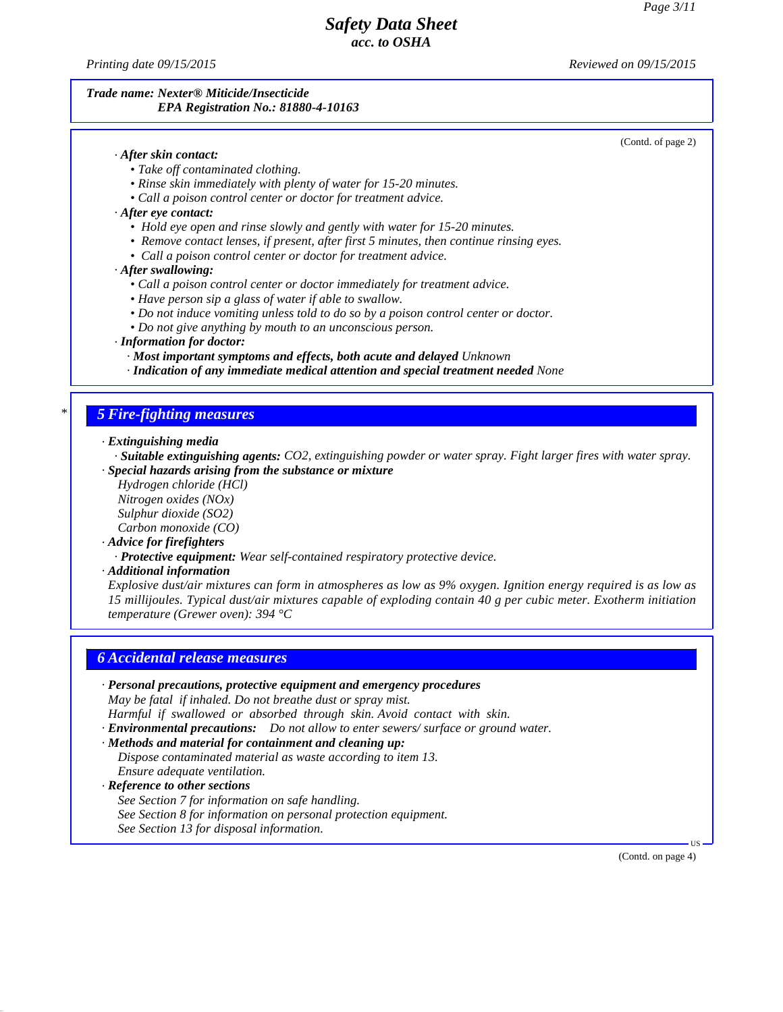*Printing date 09/15/2015 Reviewed on 09/15/2015*

## *Trade name: Nexter® Miticide/Insecticide EPA Registration No.: 81880-4-10163*

## (Contd. of page 2)

## *· After skin contact:*

- *• Take of contaminated clothing.*
- *• Rinse skin immediately with plenty of water for 15-20 minutes.*
- *• Call a poison control center or doctor for treatment advice.*
- *· After eye contact:*
	- *• Hold eye open and rinse slowly and gently with water for 15-20 minutes.*
	- *• Remove contact lenses, if present, after first 5 minutes, then continue rinsing eyes.*
	- *• Call a poison control center or doctor for treatment advice.*
- *· After swallowing:*
	- *• Call a poison control center or doctor immediately for treatment advice.*
	- *• Have person sip a glass of water ifable to swallow.*
	- *• Do not induce vomiting unless told to do so by a poison control center or doctor.*
	- *• Do not give anything by mouth to an unconscious person.*

#### *· Information for doctor:*

- *· Most important symptoms and effects, both acute and delayed Unknown*
- *· Indication of any immediate medical attention and special treatment needed None*

## *\* 5 Fire-fighting measures*

*· Extinguishing media*

- *· Suitable extinguishing agents: CO2, extinguishing powder or water spray. Fight larger fires with water spray. · Special hazards arising from the substance or mixture*
	- *Hydrogen chloride (HCl) Nitrogen oxides (NOx) Sulphur dioxide (SO2) Carbon monoxide (CO)*

- *· Advice for firefighters*
	- *· Protective equipment: Wear self-contained respiratory protective device.*

*· Additional information*

Explosive dust/air mixtures can form in atmospheres as low as 9% oxygen. Ignition energy required is as low as *15 millijoules. Typical dust/air mixtures capable of exploding contain 40 g per cubic meter. Exotherm initiation temperature (Grewer oven): 394 °C*

## *6 Accidental release measures*

*· Personal precautions, protective equipment and emergency procedures*

*May be fatal if inhaled. Do not breathe dust or spray mist.*

*Harmful if swallowed or absorbed through skin. Avoid contact with skin.*

*· Environmental precautions: Do not allow to enter sewers/ surface or ground water.*

## *· Methods and material for containment and cleaning up:*

- *Dispose contaminated material as waste according to item 13. Ensure adequate ventilation.*
- *· Reference to other sections*

41.2.6

*See Section 7 for information on safe handling. See Section 8 for information on personal protection equipment. See Section 13 for disposal information.*

(Contd. on page 4)

 $\overline{US}$   $\longrightarrow$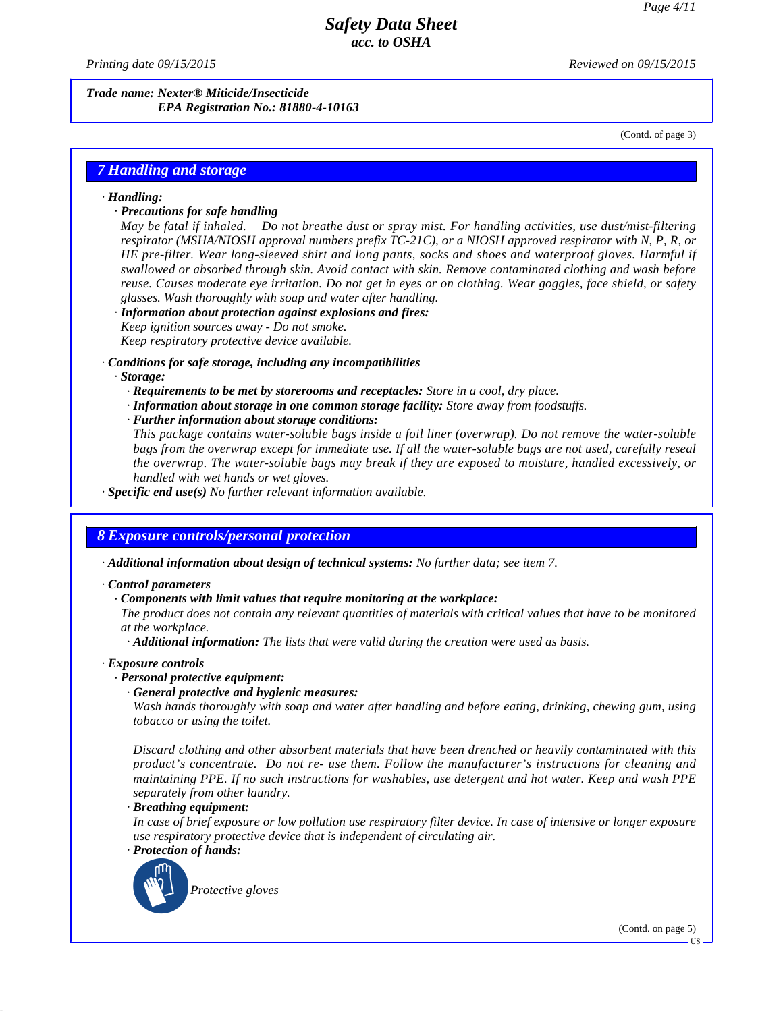*Printing date 09/15/2015 Reviewed on 09/15/2015*

*Trade name: Nexter® Miticide/Insecticide EPA Registration No.: 81880-4-10163*

(Contd. of page 3)

## *7 Handling and storage*

#### *· Handling:*

## *· Precautions for safe handling*

*May be fatal if inhaled. Do notbreathe dust or spray mist. For handling activities, use dust/mist-filtering respirator (MSHA/NIOSH approval numbers prefix TC-21C), or a NIOSH approved respirator with N, P, R, or HE pre-filter. Wear long-sleeved shirt and long pants, socks and shoes and waterproof gloves. Harmful if swallowed or absorbed through skin. Avoid contact with skin. Remove contaminated clothing and wash before* reuse. Causes moderate eve irritation. Do not get in eves or on clothing. Wear goggles, face shield, or safety *glasses. Wash thoroughly with soap and water after handling.*

#### *· Information about protection against explosions and fires:*

*Keep ignition sources away - Do notsmoke.*

*Keep respiratory protective device available.*

#### *· Conditions for safe storage, including any incompatibilities*

#### *· Storage:*

- *· Requirements to be met by storerooms and receptacles: Store in a cool, dry place.*
- *· Information about storage in one common storage facility: Store away from foodstuf s.*
- *· Further information about storage conditions:*

*This package contains water-soluble bags inside a foilliner (overwrap). Do notremove the water-soluble* bags from the overwrap except for immediate use. If all the water-soluble bags are not used, carefully reseal *the overwrap. The water-soluble bags may break if they are exposed to moisture, handled excessively, or handled with wethands or wet gloves.*

*· Specific end use(s) No further relevant information available.*

## *8 Exposure controls/personal protection*

*· Additional information about design of technical systems: No further data; see item 7.*

#### *· Control parameters*

*· Components with limit values that require monitoring at the workplace:*

The product does not contain any relevant quantities of materials with critical values that have to be monitored *at the workplace.*

*· Additional information: The lists that were valid during the creation were used as basis.*

#### *· Exposure controls*

## *· Personal protective equipment:*

## *· General protective and hygienic measures:*

*Wash hands thoroughly with soap and water after handling and before eating, drinking, chewing gum, using tobacco or using the toilet.*

*Discard clothing and other absorbent materials that have been drenched or heavily contaminated with this product's concentrate. Do not re- use them. Follow themanufacturer's instructions for cleaning and maintaining PPE. If no such instructions for washables, use detergent and hotwater. Keep and wash PPE separately from other laundry.*

## *· Breathing equipment:*

In case of brief exposure or low pollution use respiratory filter device. In case of intensive or longer exposure *use respiratory protective device that is independent of circulating air.*

## *· Protection of hands:*

41.2.6



(Contd. on page 5)

US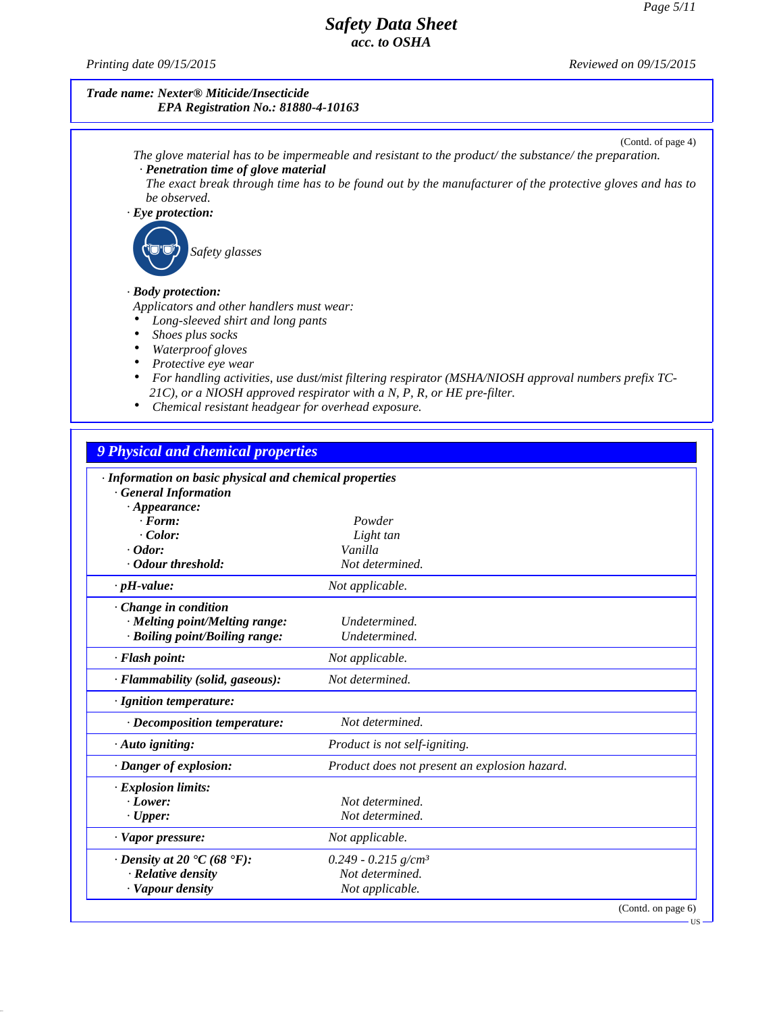*Printing date 09/15/2015 Reviewed on 09/15/2015*

41.2.6

## *Trade name: Nexter® Miticide/Insecticide EPA Registration No.: 81880-4-10163*

(Contd. of page 4) *The glove material has to be impermeable and resistant to the product/ the substance/ the preparation. · Penetration time of glove material* The exact break through time has to be found out by the manufacturer of the protective gloves and has to *be observed. · Eye protection: Safety glasses · Body protection: Applicators and other handlers must wear: Long-sleeved shirt and long pants Shoes plus socks Waterproof gloves Protective eye wear For handling activities, use dust/mist filtering respirator (MSHA/NIOSH approval numbers prefix TC- 21C), or a NIOSH approved respirator with a N, P, R, or HE pre-filter. Chemical resistant headgear for overhead exposure.*

*9 Physical and chemical properties · Information on basic physical and chemical properties · General Information*

| $\cdot$ Appearance:               |                                               |  |
|-----------------------------------|-----------------------------------------------|--|
| $\cdot$ Form:                     | Powder                                        |  |
| Color:                            | Light tan                                     |  |
| $\cdot$ Odor:                     | Vanilla                                       |  |
| Odour threshold:                  | Not determined.                               |  |
| $\cdot$ pH-value:                 | Not applicable.                               |  |
| Change in condition               |                                               |  |
| · Melting point/Melting range:    | Undetermined.                                 |  |
| · Boiling point/Boiling range:    | Undetermined.                                 |  |
| · Flash point:                    | Not applicable.                               |  |
| · Flammability (solid, gaseous):  | Not determined.                               |  |
| · Ignition temperature:           |                                               |  |
| · Decomposition temperature:      | Not determined.                               |  |
| $\cdot$ Auto igniting:            | Product is not self-igniting.                 |  |
| · Danger of explosion:            | Product does not present an explosion hazard. |  |
| · Explosion limits:               |                                               |  |
| $\cdot$ Lower:                    | Not determined.                               |  |
| $\cdot$ Upper:                    | Not determined.                               |  |
| · Vapor pressure:                 | Not applicable.                               |  |
| $\cdot$ Density at 20 °C (68 °F): | $0.249 - 0.215$ g/cm <sup>3</sup>             |  |
| · Relative density                | Not determined.                               |  |
| · Vapour density                  | Not applicable.                               |  |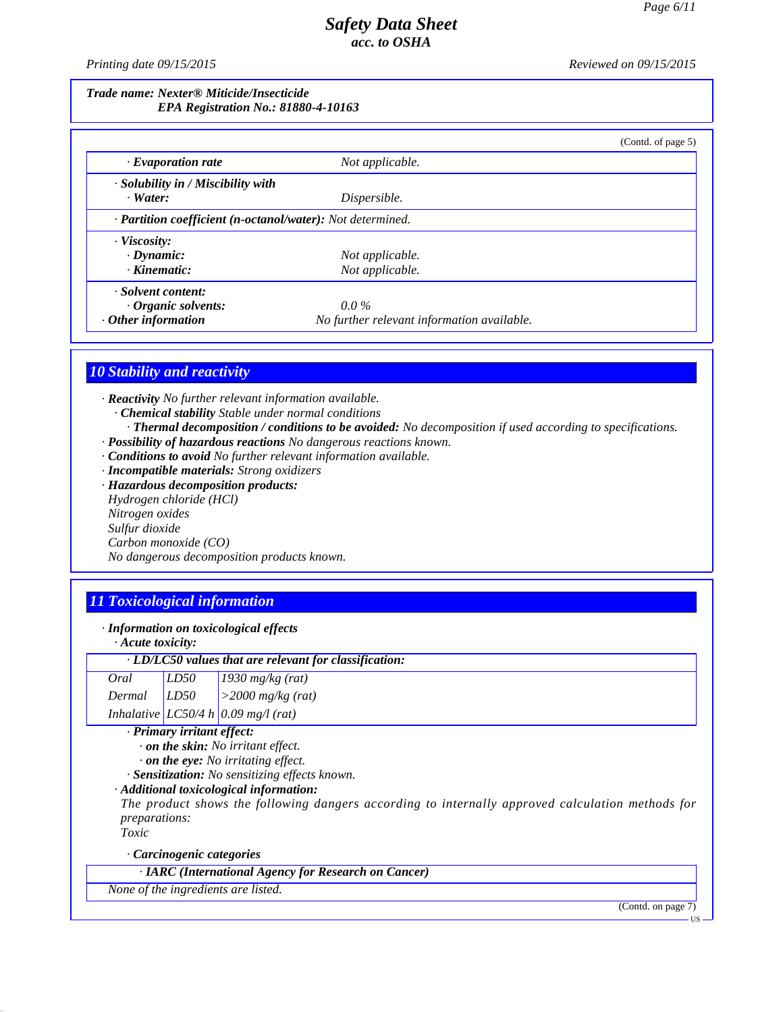*Printing date 09/15/2015 Reviewed on 09/15/2015*

## *Trade name: Nexter® Miticide/Insecticide EPA Registration No.: 81880-4-10163*

|                                                            |                                            | (Contd. of page 5) |
|------------------------------------------------------------|--------------------------------------------|--------------------|
| $\cdot$ Evaporation rate                                   | Not applicable.                            |                    |
| $\cdot$ Solubility in / Miscibility with                   |                                            |                    |
| $\cdot$ Water:                                             | Dispersible.                               |                    |
| · Partition coefficient (n-octanol/water): Not determined. |                                            |                    |
| $\cdot$ Viscosity:                                         |                                            |                    |
| $\cdot$ Dynamic:                                           | Not applicable.                            |                    |
| $\cdot$ Kinematic:                                         | Not applicable.                            |                    |
| · Solvent content:                                         |                                            |                    |
| $\cdot$ Organic solvents:                                  | $0.0\%$                                    |                    |
| $\cdot$ Other information                                  | No further relevant information available. |                    |

# *10 Stability and reactivity*

*· Reactivity No further relevant information available. · Chemical stability Stable under normal conditions*

- *· Thermal decomposition / conditions to be avoided: No decomposition if used according to specifications.*
- *· Possibility of hazardous reactions No dangerous reactions known.*
- *· Conditions to avoid No further relevant information available.*
- *· Incompatible materials: Strong oxidizers*

*· Hazardous decomposition products: Hydrogen chloride (HCl) Nitrogen oxides Sulfur dioxide Carbon monoxide (CO) No dangerous decomposition products known.*

# *11 Toxicological information*

*· Information on toxicological effects*

| $\cdot$ Acute toxicity: |  |
|-------------------------|--|
|-------------------------|--|

| · LD/LC50 values that are relevant for classification:                                           |
|--------------------------------------------------------------------------------------------------|
| 1930 $mg/kg$ (rat)<br>LD50<br>Oral                                                               |
| LD50<br>$>$ 2000 mg/kg (rat)<br>Dermal                                                           |
| Inhalative LC50/4 h 0.09 mg/l (rat)                                                              |
| · Primary irritant effect:                                                                       |
| $\cdot$ on the skin: No irritant effect.                                                         |
| $\cdot$ on the eye: No irritating effect.                                                        |
| · Sensitization: No sensitizing effects known.                                                   |
| · Additional toxicological information:                                                          |
| The product shows the following dangers according to internally approved calculation methods for |
| <i>preparations:</i>                                                                             |
| Toxic                                                                                            |
| Carcinogenic categories                                                                          |
| · IARC (International Agency for Research on Cancer)                                             |

*None of the ingredients are listed.*

41.2.6

(Contd. on page 7)

LIC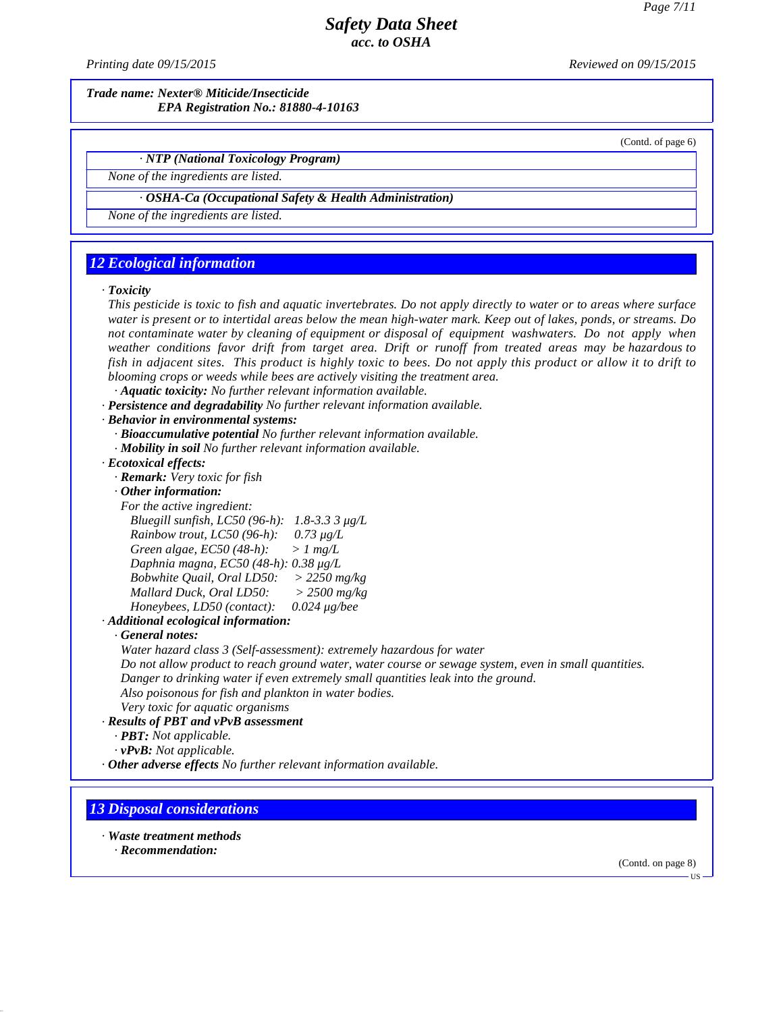*Printing date 09/15/2015 Reviewed on 09/15/2015*

*Trade name: Nexter® Miticide/Insecticide EPA Registration No.: 81880-4-10163*

(Contd. of page 6)

*· NTP (National Toxicology Program)*

*None of the ingredients are listed.*

#### *· OSHA-Ca (Occupational Safety & Health Administration)*

*None of the ingredients are listed.*

## *12 Ecological information*

#### *· Toxicity*

This pesticide is toxic to fish and aquatic invertebrates. Do not apply directly to water or to areas where surface water is present or to intertidal areas below the mean high-water mark. Keep out of lakes, ponds, or streams. Do *not contaminate water by cleaning of equipment or disposal of equipment washwaters. Do not apply when weather conditions favor drift from target area. Drift or runoff from treated areas may be hazardous to* fish in adjacent sites. This product is highly toxic to bees. Do not apply this product or allow it to drift to *blooming crops or weeds while bees are actively visiting the treatment area. · Aquatic toxicity: No further relevant information available.*

- *· Persistence and degradability No further relevant information available.*
- *· Behavior in environmental systems:*
	- *· Bioaccumulative potential No further relevant information available.*
	- *· Mobility in soil No further relevant information available.*
- *· Ecotoxical effects:*
	- *· Remark: Very toxic for fish*
	- *· Other information:*
	- *For the active ingredient:*
		- *Bluegill sunfish, LC50 (96-h): 1.8-3.3 3 μg/L*

*Rainbow trout, LC50 (96-h): 0.73 μg/L Green algae, EC50 (48-h): > 1 mg/L*

*Daphnia magna, EC50 (48-h): 0.38 μg/L*

- *Bobwhite Quail, Oral LD50: > 2250 mg/kg*
- *Mallard Duck, Oral LD50: > 2500 mg/kg*
- *Honeybees, LD50 (contact): 0.024 μg/bee*

*· Additional ecological information:*

#### *· General notes:*

*Water hazard class 3 (Self-assessment): extremely hazardous for water*

*Do not allow product to reach ground water, water course or sewage system, even in small quantities. Danger to drinking water ifeven extremely small quantities leak into the ground.*

*Also poisonous for fish and plankton in water bodies.*

*Very toxic for aquatic organisms*

- *· Results of PBT and vPvB assessment*
	- *· PBT: Not applicable.*
	- *· vPvB: Not applicable.*
- *· Other adverse effects No further relevant information available.*

## *13 Disposal considerations*

*· Waste treatment methods*

*· Recommendation:*

41.2.6

(Contd. on page 8)

**HS**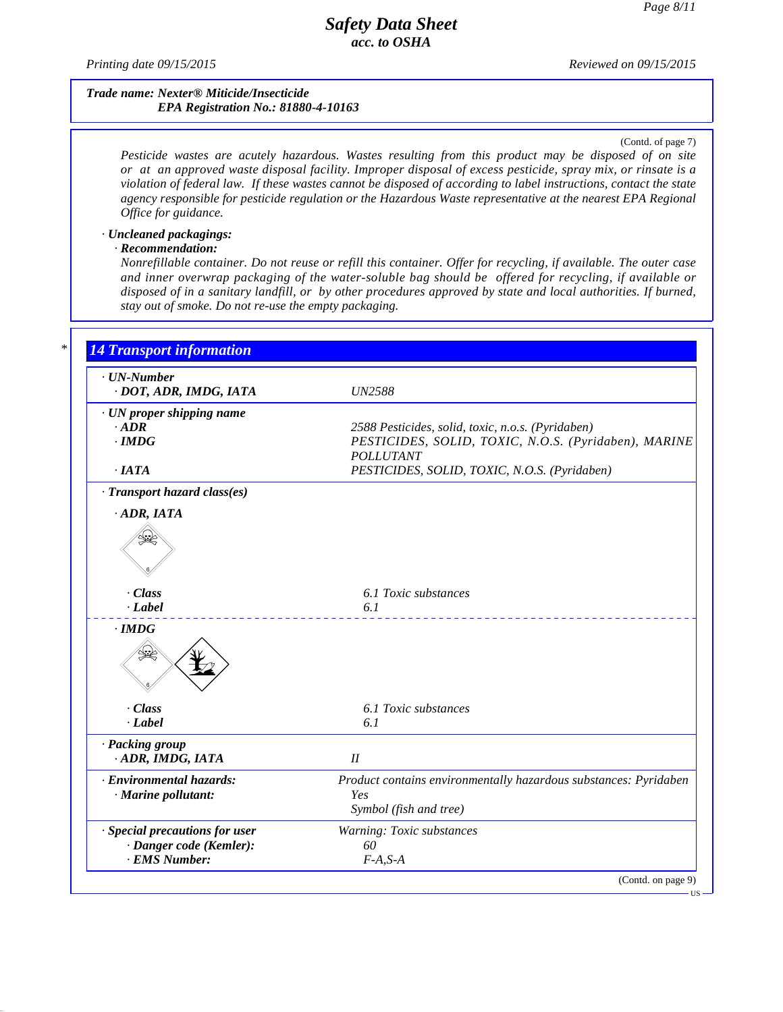*Printing date 09/15/2015 Reviewed on 09/15/2015*

## *Trade name: Nexter® Miticide/Insecticide EPA Registration No.: 81880-4-10163*

#### (Contd. of page 7)

*Pesticide wastes are acutely hazardous. Wastes resulting from this product may be disposed of on site* or at an approved waste disposal facility. Improper disposal of excess pesticide, spray mix, or rinsate is a violation of federal law. If these wastes cannot be disposed of according to label instructions, contact the state *agency responsible for pesticide regulation or the Hazardous Waste representative at the nearest EPA Regional Of ice for guidance.*

## *· Uncleaned packagings:*

## *· Recommendation:*

41.2.6

*Nonrefillable container. Do notreuse or refill this container. Offer for recycling, if available. The outer case and inner overwrap packaging of the water-soluble bag should be offered for recycling, if available or* disposed of in a sanitary landfill, or by other procedures approved by state and local authorities. If burned, *stay out of smoke. Do notre-use the empty packaging.*

| · UN-Number                                     |                                                                                                   |
|-------------------------------------------------|---------------------------------------------------------------------------------------------------|
| · DOT, ADR, IMDG, IATA                          | <b>UN2588</b>                                                                                     |
| $\cdot$ UN proper shipping name                 |                                                                                                   |
| $\cdot$ ADR                                     | 2588 Pesticides, solid, toxic, n.o.s. (Pyridaben)                                                 |
| $\cdot$ IMDG                                    | PESTICIDES, SOLID, TOXIC, N.O.S. (Pyridaben), MARINE                                              |
|                                                 | <b>POLLUTANT</b>                                                                                  |
| $\cdot$ IATA                                    | PESTICIDES, SOLID, TOXIC, N.O.S. (Pyridaben)                                                      |
| · Transport hazard class(es)                    |                                                                                                   |
| $·$ ADR, IATA                                   |                                                                                                   |
|                                                 |                                                                                                   |
| . Class                                         | 6.1 Toxic substances                                                                              |
| $-Label$                                        | 6.1<br><u>.</u>                                                                                   |
| $\cdot$ IMDG<br>₩                               |                                                                                                   |
| . Class                                         | 6.1 Toxic substances                                                                              |
| · Label                                         | 6.1                                                                                               |
| · Packing group<br>ADR, IMDG, IATA              | $I\!I$                                                                                            |
| · Environmental hazards:<br>· Marine pollutant: | Product contains environmentally hazardous substances: Pyridaben<br>Yes<br>Symbol (fish and tree) |
| · Special precautions for user                  | Warning: Toxic substances                                                                         |
| · Danger code (Kemler):                         | 60                                                                                                |
| · EMS Number:                                   | $F-A, S-A$                                                                                        |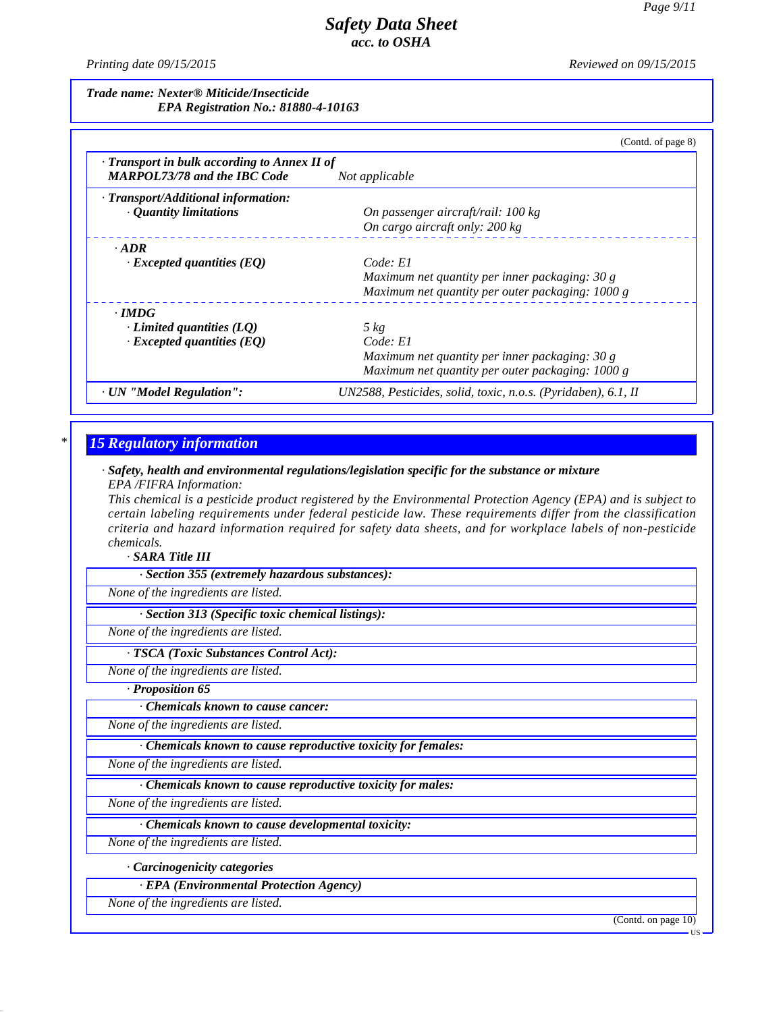*Printing date 09/15/2015 Reviewed on 09/15/2015*

*Trade name: Nexter® Miticide/Insecticide EPA Registration No.: 81880-4-10163*

| $\cdot$ Transport in bulk according to Annex II of<br><b>MARPOL73/78 and the IBC Code</b> | Not applicable                                   |
|-------------------------------------------------------------------------------------------|--------------------------------------------------|
| · Transport/Additional information:                                                       |                                                  |
| · Quantity limitations                                                                    | On passenger aircraft/rail: 100 kg               |
|                                                                                           | On cargo aircraft only: 200 kg                   |
| $\cdot$ ADR                                                                               |                                                  |
| $\cdot$ Excepted quantities (EQ)                                                          | Code: El                                         |
|                                                                                           | Maximum net quantity per inner packaging: 30 g   |
|                                                                                           | Maximum net quantity per outer packaging: 1000 g |
| $\cdot$ IMDG                                                                              |                                                  |
| $\cdot$ Limited quantities (LQ)                                                           | $5\ kg$                                          |
| $\cdot$ Excepted quantities (EQ)                                                          | Code: El                                         |
|                                                                                           | Maximum net quantity per inner packaging: 30 g   |
|                                                                                           | Maximum net quantity per outer packaging: 1000 g |

## *\* 15 Regulatory information*

#### *· Safety, health and environmental regulations/legislation specific for the substance or mixture EPA /FIFRA Information:*

This chemical is a pesticide product registered by the Environmental Protection Agency (EPA) and is subject to *certain labeling requirements under federal pesticide law. These requirements differ from the classification criteria and hazard information required for safety data sheets, and for workplace labels of non-pesticide chemicals.*

*· SARA Title III*

*· Section 355 (extremely hazardous substances):*

*None of the ingredients are listed.*

*· Section 313 (Specific toxic chemical listings):*

*None of the ingredients are listed.*

*· TSCA (Toxic Substances Control Act):*

*None of the ingredients are listed.*

*· Proposition 65*

*· Chemicals known to cause cancer:*

*None of the ingredients are listed.*

*· Chemicals known to cause reproductive toxicity for females:*

*None of the ingredients are listed.*

*· Chemicals known to cause reproductive toxicity for males:*

*None of the ingredients are listed.*

*· Chemicals known to cause developmental toxicity:*

*None of the ingredients are listed.*

*· Carcinogenicity categories*

*· EPA (Environmental Protection Agency)*

*None of the ingredients are listed.*

41.2.6

(Contd. on page 10)

US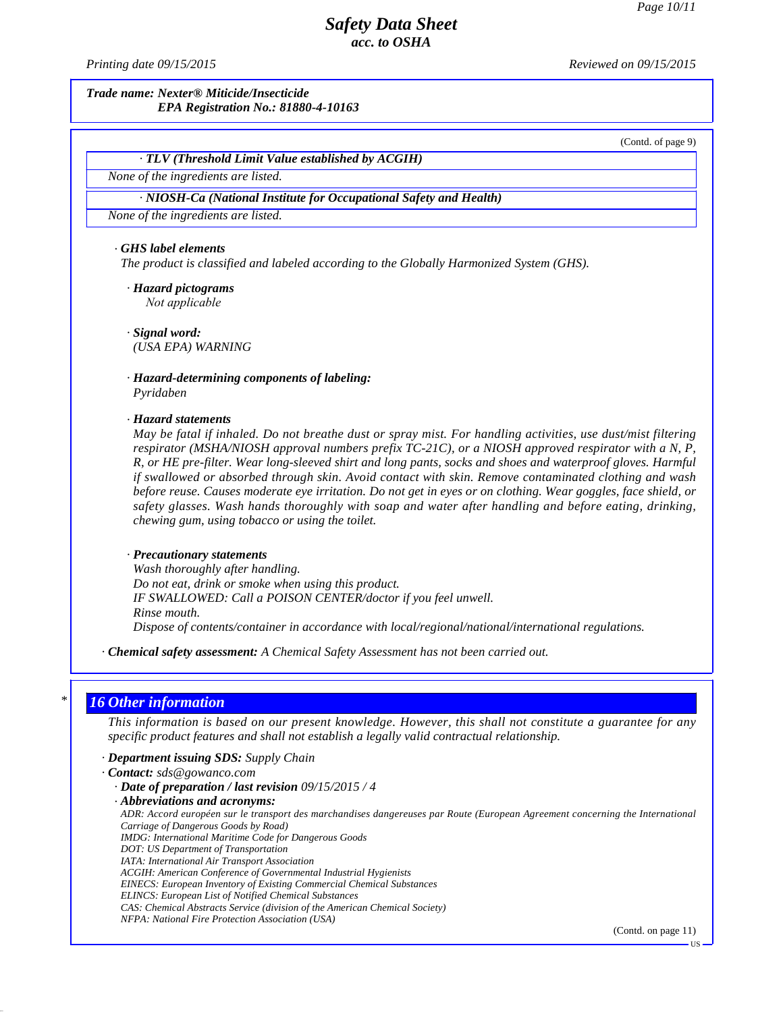*Printing date 09/15/2015 Reviewed on 09/15/2015*

*Trade name: Nexter® Miticide/Insecticide EPA Registration No.: 81880-4-10163*

(Contd. of page 9)

## *· TLV (Threshold Limit Value established by ACGIH)*

*None of the ingredients are listed.*

#### *· NIOSH-Ca (National Institute for Occupational Safety and Health)*

*None of the ingredients are listed.*

#### *· GHS label elements*

*The product is classified and labeled according to the Globally Harmonized System (GHS).*

*· Hazard pictograms Not applicable*

*· Signal word: Hazard pictograms*<br> *Not applicable*<br> *Signal word:*<br>
(USA EPA) WARNING

*· Hazard-determining components of labeling: Pyridaben*

#### *· Hazard statements*

*May be fatal if inhaled. Do not breathe dust or spray mist. For handling activities, use dust/mist filtering respirator (MSHA/NIOSH approval numbers prefix TC-21C), or a NIOSH approved respirator with a N, P, Fordaben*<br> *Pyridaben*<br> *May be fatal if inhaled. Do not breathe dust or spray mist. For handling activities, use dust/mist filtering*<br> *May be fatal if inhaled. Do not breathe dust or spray mist. For handling activities, Rianding*<br> *Razard statements*<br> *May be fatal if inhaled. Do not breathe dust or spray mist. For handling activities, use dust/mist filtering*<br> *R, or HE pre-filter. Wear long-sleeved shirt and long pants, socks and shoes if* Hazard statements<br> *May be fatal if inhaled. Do not breathe dust or spray mist. For handling activities, use dust/mist filtering*<br> *respirator (MSHA/NIOSH approval numbers prefix TC-21C), or a NIOSH approved respira before reuse. Causes moderate and the dust or spray mist. For handling activities, use dust/mist filtering***<br>***before full inhaled. Do not breathe dust or spray mist. For handling activities, use dust/mist filtering***<br>***resp May be fatal if inhaled. Do not breathe dust or spray mist. For handling activities, use dust/mist filtering*<br>*respirator (MSHA/NIOSH approval numbers prefix TC-21C), or a NIOSH approved respirator with a N, P,*<br>*R, or HE respirator (MSHA/NIOSH approval numbers prefix*<br>*R, or HE pre-filter. Wear long-sleeved shirt and lon*<br>*if swallowed or absorbed through skin. Avoid con*<br>*before reuse. Causes moderate eye irritation. Do no<br>safety glasses* 

#### *· Precautionary statements*

*Wash thoroughly after handling. Do not eat, drink or smoke when using this product. IF SWALLOWED: Call a POISON CENTER/doctor ifyou feel unwell. Rinse mouth. Dispose of contents/container in accordance with local/regional/national/international regulations.*

*· Chemical safety assessment: A Chemical Safety Assessment has not been carried out.*

## *\* 16 Other information*

41.2.6

This information is based on our present knowledge. However, this shall not constitute a guarantee for any *specific product features and shall not establish a legally valid contractual relationship.*

- *· Department issuing SDS: Supply Chain*
- *· Contact: sds@gowanco.com*
	- *· Date of preparation / last revision 09/15/2015 / 4*
	- *· Abbreviations and acronyms:*

ADR: Accord européen sur le transport des marchandises dangereuses par Route (European Agreement concerning the International *Carriage of Dangerous Goods by Road) IMDG: International Maritime Code for Dangerous Goods*

- *DOT: US Department of Transportation IATA: International Air Transport Association*
- *ACGIH: American Conference of Governmental Industrial Hygienists*
- *EINECS: European Inventory of Existing Commercial Chemical Substances*
- *ELINCS: European List of Notified Chemical Substances*
- *CAS: Chemical Abstracts Service (division of the American Chemical Society)*
- *NFPA: National Fire Protection Association (USA)*

(Contd. on page 11)

US